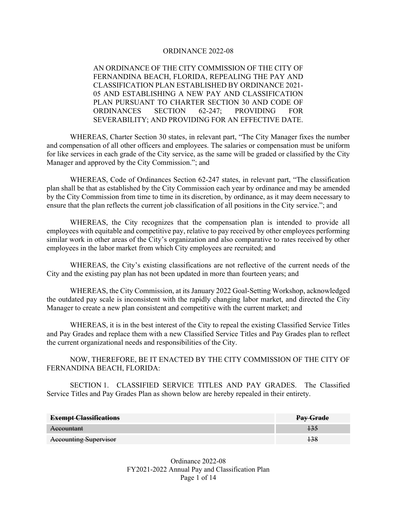### ORDINANCE 2022-08

AN ORDINANCE OF THE CITY COMMISSION OF THE CITY OF FERNANDINA BEACH, FLORIDA, REPEALING THE PAY AND CLASSIFICATION PLAN ESTABLISHED BY ORDINANCE 2021- 05 AND ESTABLISHING A NEW PAY AND CLASSIFICATION PLAN PURSUANT TO CHARTER SECTION 30 AND CODE OF ORDINANCES SECTION 62-247; PROVIDING FOR SEVERABILITY; AND PROVIDING FOR AN EFFECTIVE DATE.

 WHEREAS, Charter Section 30 states, in relevant part, "The City Manager fixes the number and compensation of all other officers and employees. The salaries or compensation must be uniform for like services in each grade of the City service, as the same will be graded or classified by the City Manager and approved by the City Commission."; and

 WHEREAS, Code of Ordinances Section 62-247 states, in relevant part, "The classification plan shall be that as established by the City Commission each year by ordinance and may be amended by the City Commission from time to time in its discretion, by ordinance, as it may deem necessary to ensure that the plan reflects the current job classification of all positions in the City service."; and

 WHEREAS, the City recognizes that the compensation plan is intended to provide all employees with equitable and competitive pay, relative to pay received by other employees performing similar work in other areas of the City's organization and also comparative to rates received by other employees in the labor market from which City employees are recruited; and

 WHEREAS, the City's existing classifications are not reflective of the current needs of the City and the existing pay plan has not been updated in more than fourteen years; and

 WHEREAS, the City Commission, at its January 2022 Goal-Setting Workshop, acknowledged the outdated pay scale is inconsistent with the rapidly changing labor market, and directed the City Manager to create a new plan consistent and competitive with the current market; and

 WHEREAS, it is in the best interest of the City to repeal the existing Classified Service Titles and Pay Grades and replace them with a new Classified Service Titles and Pay Grades plan to reflect the current organizational needs and responsibilities of the City.

NOW, THEREFORE, BE IT ENACTED BY THE CITY COMMISSION OF THE CITY OF FERNANDINA BEACH, FLORIDA:

 SECTION 1. CLASSIFIED SERVICE TITLES AND PAY GRADES. The Classified Service Titles and Pay Grades Plan as shown below are hereby repealed in their entirety.

| <b>Exempt Classifications</b> | <b>Pay Grade</b> |
|-------------------------------|------------------|
| Accountant                    |                  |
| <b>Accounting Supervisor</b>  |                  |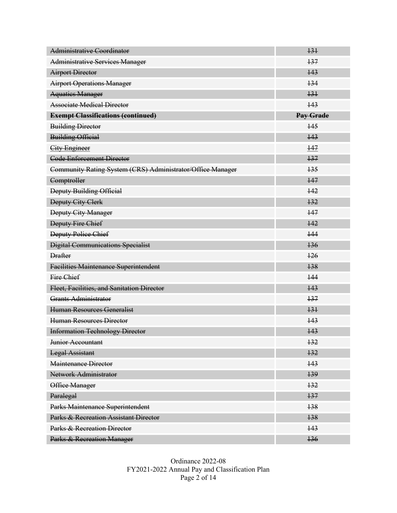| Administrative Coordinator                                 | 131              |
|------------------------------------------------------------|------------------|
| <b>Administrative Services Manager</b>                     | 137              |
| <b>Airport Director</b>                                    | 143              |
| <b>Airport Operations Manager</b>                          | 134              |
| <b>Aquatics Manager</b>                                    | 131              |
| <b>Associate Medical Director</b>                          | 143              |
| <b>Exempt Classifications (continued)</b>                  | <b>Pay Grade</b> |
| <b>Building Director</b>                                   | 145              |
| <b>Building Official</b>                                   | 143              |
| <b>City Engineer</b>                                       | 147              |
| <b>Code Enforcement Director</b>                           | 137              |
| Community Rating System (CRS) Administrator/Office Manager | 135              |
| Comptroller                                                | 147              |
| Deputy Building Official                                   | 142              |
| <b>Deputy City Clerk</b>                                   | 132              |
| <b>Deputy City Manager</b>                                 | 147              |
| <b>Deputy Fire Chief</b>                                   | 142              |
| <b>Deputy Police Chief</b>                                 | 144              |
| <b>Digital Communications Specialist</b>                   | 136              |
| <b>Drafter</b>                                             | 126              |
| <b>Facilities Maintenance Superintendent</b>               | 138              |
| Fire Chief                                                 | 144              |
| Fleet, Facilities, and Sanitation Director                 | 143              |
| Grants Administrator                                       | 137              |
| Human Resources Generalist                                 | 131              |
| <b>Human Resources Director</b>                            | 143              |
| <b>Information Technology Director</b>                     | 143              |
| Junior Accountant                                          | 132              |
| <b>Legal Assistant</b>                                     | 132              |
| Maintenance Director                                       | 143              |
| Network Administrator                                      | 139              |
| Office Manager                                             | 132              |
| Paralegal                                                  | 137              |
| Parks Maintenance Superintendent                           | 138              |
| Parks & Recreation Assistant Director                      | 138              |
| Parks & Recreation Director                                | 143              |
| Parks & Recreation Manager                                 | 136              |

Ordinance 2022-08 FY2021-2022 Annual Pay and Classification Plan Page 2 of 14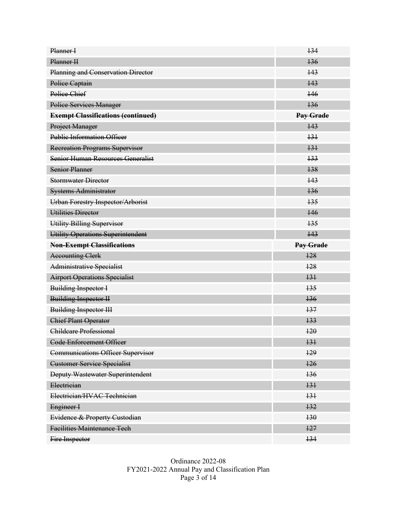| Planner I                                 | 134              |
|-------------------------------------------|------------------|
| Planner H                                 | 136              |
| Planning and Conservation Director        | 143              |
| Police Captain                            | 143              |
| Police Chief                              | 146              |
| <b>Police Services Manager</b>            | 136              |
| <b>Exempt Classifications (continued)</b> | <b>Pay Grade</b> |
| Project Manager                           | 143              |
| <b>Public Information Officer</b>         | 131              |
| <b>Recreation Programs Supervisor</b>     | 131              |
| Senior Human Resources Generalist         | 133              |
| <b>Senior Planner</b>                     | 138              |
| <b>Stormwater Director</b>                | 143              |
| <b>Systems Administrator</b>              | 136              |
| <b>Urban Forestry Inspector/Arborist</b>  | 135              |
| Utilities Director                        | 146              |
| Utility Billing Supervisor                | 135              |
| Utility Operations Superintendent         | 143              |
|                                           |                  |
| <b>Non-Exempt Classifications</b>         | <b>Pay Grade</b> |
| <b>Accounting Clerk</b>                   | 128              |
| Administrative Specialist                 | 128              |
| <b>Airport Operations Specialist</b>      | 131              |
| <b>Building Inspector I</b>               | 135              |
| <b>Building Inspector II</b>              | 136              |
| <b>Building Inspector III</b>             | 137              |
| <b>Chief Plant Operator</b>               | 133              |
| Childcare Professional                    | 120              |
| <b>Code Enforcement Officer</b>           | 131              |
| <b>Communications Officer Supervisor</b>  | 129              |
| <b>Customer Service Specialist</b>        | 126              |
| <b>Deputy Wastewater Superintendent</b>   | 136              |
| Electrician                               | 131              |
| Electrician/HVAC Technician               | 131              |
| Engineer I                                | 132              |
| Evidence & Property Custodian             | 130              |
| <b>Facilities Maintenance Tech</b>        | 127              |

Ordinance 2022-08 FY2021-2022 Annual Pay and Classification Plan Page 3 of 14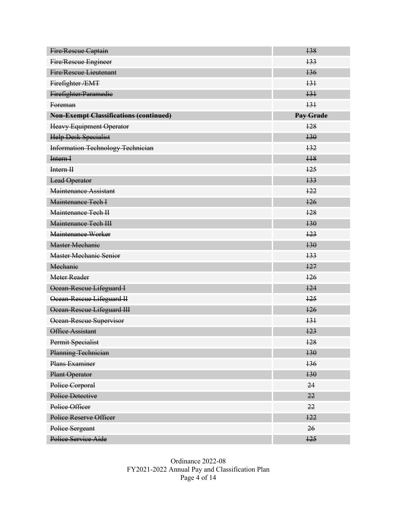| Fire/Rescue Captain                           | 138              |
|-----------------------------------------------|------------------|
| Fire/Rescue Engineer                          | 133              |
| <b>Fire/Rescue Lieutenant</b>                 | 136              |
| Firefighter/EMT                               | 131              |
| Firefighter/Paramedie                         | 131              |
| Foreman                                       | 131              |
| <b>Non-Exempt Classifications (continued)</b> | <b>Pay Grade</b> |
| <b>Heavy Equipment Operator</b>               | 128              |
| <b>Help Desk Specialist</b>                   | 130              |
| <b>Information Technology Technician</b>      | 132              |
| Intern I                                      | H <sub>8</sub>   |
| Intern H                                      | 125              |
| <b>Lead Operator</b>                          | 133              |
| Maintenance Assistant                         | 122              |
| Maintenance Tech I                            | 126              |
| Maintenance Tech II                           | 128              |
| Maintenance Tech III                          | 130              |
| Maintenance Worker                            | 123              |
| <b>Master Mechanie</b>                        | 130              |
| <b>Master Mechanic Senior</b>                 | 133              |
| Mechanie                                      | 127              |
| <b>Meter Reader</b>                           | 126              |
| Ocean-Rescue Lifeguard I                      | 124              |
| Ocean-Rescue Lifeguard II                     | 125              |
| Ocean-Rescue Lifeguard III                    | 126              |
| Ocean-Rescue Supervisor                       | 131              |
| <b>Office Assistant</b>                       | 123              |
| Permit Specialist                             | 128              |
| Planning Technician                           | 130              |
| Plans Examiner                                | 136              |
| <b>Plant Operator</b>                         | 130              |
| Police Corporal                               | 24               |
| Police Detective                              | 22               |
| Police Officer                                | 22               |
| Police Reserve Officer                        | 122              |
| Police Sergeant                               | 26               |
| Police Service Aide                           | 125              |

Ordinance 2022-08 FY2021-2022 Annual Pay and Classification Plan Page 4 of 14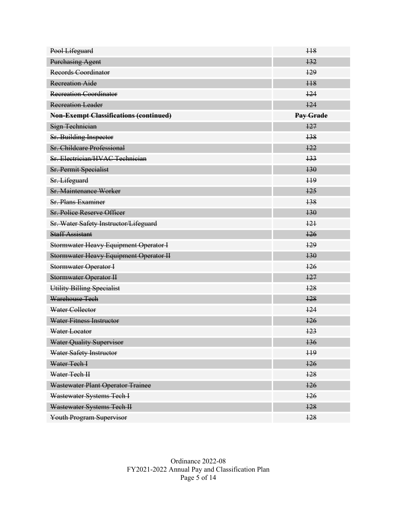| Pool Lifeguard                                | H <sub>8</sub> |
|-----------------------------------------------|----------------|
| <b>Purchasing Agent</b>                       | 132            |
| Records Coordinator                           | 129            |
| <b>Recreation Aide</b>                        | H <sub>8</sub> |
| <b>Recreation Coordinator</b>                 | 124            |
| <b>Recreation Leader</b>                      | 124            |
| <b>Non-Exempt Classifications (continued)</b> | Pay Grade      |
| Sign Technician                               | 127            |
| Sr. Building Inspector                        | 138            |
| <b>Sr. Childcare Professional</b>             | 122            |
| Sr. Electrician/HVAC Technician               | 133            |
| <b>Sr. Permit Specialist</b>                  | 130            |
| Sr. Lifeguard                                 | H <sup>9</sup> |
| <b>Sr. Maintenance Worker</b>                 | 125            |
| <b>Sr. Plans Examiner</b>                     | 138            |
| <b>Sr. Police Reserve Officer</b>             | 130            |
| Sr. Water Safety Instructor/Lifeguard         | 121            |
| <b>Staff Assistant</b>                        | 126            |
| <b>Stormwater Heavy Equipment Operator I</b>  | 129            |
| <b>Stormwater Heavy Equipment Operator II</b> | 130            |
| <b>Stormwater Operator I</b>                  | 126            |
| <b>Stormwater Operator II</b>                 | 127            |
| Utility Billing Specialist                    | 128            |
| Warehouse Tech                                | 128            |
| Water Collector                               | 124            |
| Water Fitness Instructor                      | 126            |
| Water Locator                                 | 123            |
| <b>Water Quality Supervisor</b>               | 136            |
| Water Safety Instructor                       | 119            |
| Water Tech I                                  | 126            |
| Water Tech II                                 | 128            |
| Wastewater Plant Operator Trainee             | 126            |
| Wastewater Systems Tech I                     | 126            |
| Wastewater Systems Tech II                    | 128            |
| Youth Program Supervisor                      | 128            |

Ordinance 2022-08 FY2021-2022 Annual Pay and Classification Plan Page 5 of 14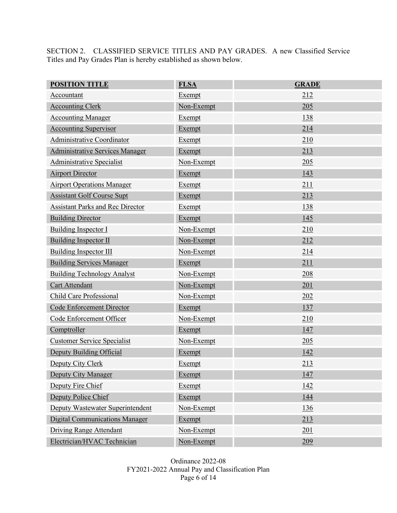SECTION 2. CLASSIFIED SERVICE TITLES AND PAY GRADES. A new Classified Service Titles and Pay Grades Plan is hereby established as shown below.

| <b>POSITION TITLE</b>                   | <b>FLSA</b>   | <b>GRADE</b> |
|-----------------------------------------|---------------|--------------|
| Accountant                              | Exempt        | 212          |
| <b>Accounting Clerk</b>                 | Non-Exempt    | 205          |
| <b>Accounting Manager</b>               | Exempt        | 138          |
| <b>Accounting Supervisor</b>            | Exempt        | 214          |
| Administrative Coordinator              | Exempt        | 210          |
| <b>Administrative Services Manager</b>  | Exempt        | 213          |
| <b>Administrative Specialist</b>        | Non-Exempt    | 205          |
| <b>Airport Director</b>                 | Exempt        | 143          |
| <b>Airport Operations Manager</b>       | <b>Exempt</b> | 211          |
| <b>Assistant Golf Course Supt</b>       | Exempt        | 213          |
| <b>Assistant Parks and Rec Director</b> | Exempt        | 138          |
| <b>Building Director</b>                | Exempt        | 145          |
| <b>Building Inspector I</b>             | Non-Exempt    | 210          |
| <b>Building Inspector II</b>            | Non-Exempt    | 212          |
| Building Inspector III                  | Non-Exempt    | 214          |
| <b>Building Services Manager</b>        | Exempt        | 211          |
| <b>Building Technology Analyst</b>      | Non-Exempt    | 208          |
| Cart Attendant                          | Non-Exempt    | 201          |
| Child Care Professional                 | Non-Exempt    | 202          |
| Code Enforcement Director               | Exempt        | 137          |
| Code Enforcement Officer                | Non-Exempt    | 210          |
| Comptroller                             | Exempt        | 147          |
| <b>Customer Service Specialist</b>      | Non-Exempt    | 205          |
| Deputy Building Official                | Exempt        | 142          |
| Deputy City Clerk                       | <b>Exempt</b> | 213          |
| Deputy City Manager                     | Exempt        | <u>147</u>   |
| Deputy Fire Chief                       | Exempt        | <u>142</u>   |
| Deputy Police Chief                     | Exempt        | 144          |
| Deputy Wastewater Superintendent        | Non-Exempt    | <u>136</u>   |
| <b>Digital Communications Manager</b>   | Exempt        | 213          |
| Driving Range Attendant                 | Non-Exempt    | 201          |
| Electrician/HVAC Technician             | Non-Exempt    | 209          |

Ordinance 2022-08 FY2021-2022 Annual Pay and Classification Plan Page  $6$  of 14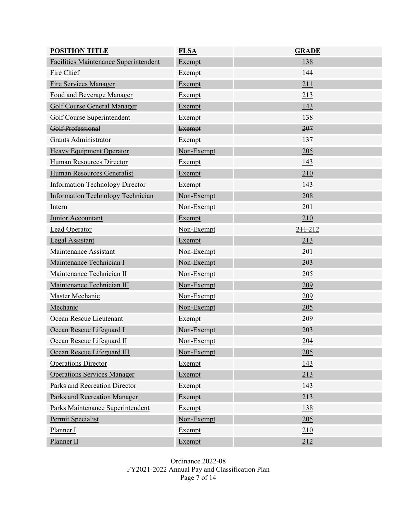| <b>POSITION TITLE</b>                        | <b>FLSA</b>   | <b>GRADE</b> |
|----------------------------------------------|---------------|--------------|
| <b>Facilities Maintenance Superintendent</b> | <b>Exempt</b> | 138          |
| Fire Chief                                   | Exempt        | 144          |
| <b>Fire Services Manager</b>                 | Exempt        | 211          |
| Food and Beverage Manager                    | Exempt        | 213          |
| <b>Golf Course General Manager</b>           | <b>Exempt</b> | 143          |
| Golf Course Superintendent                   | Exempt        | 138          |
| Golf Professional                            | <b>Exempt</b> | 207          |
| <b>Grants Administrator</b>                  | Exempt        | 137          |
| <b>Heavy Equipment Operator</b>              | Non-Exempt    | 205          |
| Human Resources Director                     | Exempt        | 143          |
| Human Resources Generalist                   | Exempt        | 210          |
| <b>Information Technology Director</b>       | Exempt        | 143          |
| <b>Information Technology Technician</b>     | Non-Exempt    | 208          |
| Intern                                       | Non-Exempt    | 201          |
| Junior Accountant                            | Exempt        | 210          |
| <b>Lead Operator</b>                         | Non-Exempt    | 211-212      |
| <b>Legal Assistant</b>                       | Exempt        | 213          |
| Maintenance Assistant                        | Non-Exempt    | 201          |
| Maintenance Technician I                     | Non-Exempt    | 203          |
| Maintenance Technician II                    | Non-Exempt    | 205          |
| Maintenance Technician III                   | Non-Exempt    | 209          |
| Master Mechanic                              | Non-Exempt    | 209          |
| Mechanic                                     | Non-Exempt    | 205          |
| Ocean Rescue Lieutenant                      | Exempt        | 209          |
| Ocean Rescue Lifeguard I                     | Non-Exempt    | 203          |
| Ocean Rescue Lifeguard II                    | Non-Exempt    | 204          |
| Ocean Rescue Lifeguard III                   | Non-Exempt    | 205          |
| <b>Operations Director</b>                   | Exempt        | 143          |
| <b>Operations Services Manager</b>           | Exempt        | 213          |
| Parks and Recreation Director                | Exempt        | 143          |
| Parks and Recreation Manager                 | Exempt        | 213          |
| Parks Maintenance Superintendent             | Exempt        | 138          |
| Permit Specialist                            | Non-Exempt    | 205          |
| Planner I                                    | Exempt        | 210          |
| Planner II                                   | Exempt        | 212          |

Ordinance 2022-08 FY2021-2022 Annual Pay and Classification Plan Page 7 of 14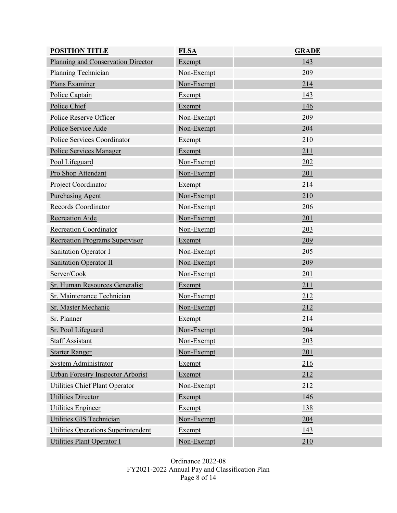| <b>POSITION TITLE</b>                    | <b>FLSA</b>   | <b>GRADE</b> |
|------------------------------------------|---------------|--------------|
| Planning and Conservation Director       | Exempt        | 143          |
| <b>Planning Technician</b>               | Non-Exempt    | 209          |
| Plans Examiner                           | Non-Exempt    | 214          |
| Police Captain                           | Exempt        | 143          |
| Police Chief                             | <b>Exempt</b> | 146          |
| Police Reserve Officer                   | Non-Exempt    | <u>209</u>   |
| Police Service Aide                      | Non-Exempt    | 204          |
| Police Services Coordinator              | Exempt        | 210          |
| Police Services Manager                  | <b>Exempt</b> | 211          |
| Pool Lifeguard                           | Non-Exempt    | 202          |
| Pro Shop Attendant                       | Non-Exempt    | 201          |
| Project Coordinator                      | Exempt        | 214          |
| <b>Purchasing Agent</b>                  | Non-Exempt    | 210          |
| Records Coordinator                      | Non-Exempt    | 206          |
| <b>Recreation Aide</b>                   | Non-Exempt    | 201          |
| <b>Recreation Coordinator</b>            | Non-Exempt    | 203          |
| <b>Recreation Programs Supervisor</b>    | Exempt        | 209          |
| <b>Sanitation Operator I</b>             | Non-Exempt    | 205          |
| <b>Sanitation Operator II</b>            | Non-Exempt    | 209          |
| Server/Cook                              | Non-Exempt    | 201          |
| Sr. Human Resources Generalist           | <b>Exempt</b> | 211          |
| Sr. Maintenance Technician               | Non-Exempt    | 212          |
| Sr. Master Mechanic                      | Non-Exempt    | 212          |
| Sr. Planner                              | <b>Exempt</b> | 214          |
| Sr. Pool Lifeguard                       | Non-Exempt    | 204          |
| <b>Staff Assistant</b>                   | Non-Exempt    | 203          |
| <b>Starter Ranger</b>                    | Non-Exempt    | 201          |
| <b>System Administrator</b>              | Exempt        | 216          |
| <b>Urban Forestry Inspector Arborist</b> | Exempt        | 212          |
| Utilities Chief Plant Operator           | Non-Exempt    | 212          |
| <b>Utilities Director</b>                | Exempt        | <u>146</u>   |
| Utilities Engineer                       | Exempt        | 138          |
| Utilities GIS Technician                 | Non-Exempt    | 204          |
| Utilities Operations Superintendent      | Exempt        | <u>143</u>   |
| <b>Utilities Plant Operator I</b>        | Non-Exempt    | 210          |

Ordinance 2022-08 FY2021-2022 Annual Pay and Classification Plan Page 8 of 14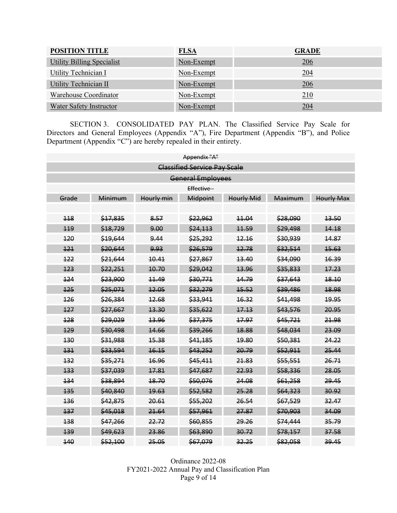| <b>POSITION TITLE</b>      | <b>FLSA</b> | <b>GRADE</b> |
|----------------------------|-------------|--------------|
| Utility Billing Specialist | Non-Exempt  | 206          |
| Utility Technician I       | Non-Exempt  | 204          |
| Utility Technician II      | Non-Exempt  | 206          |
| Warehouse Coordinator      | Non-Exempt  | <u>210</u>   |
| Water Safety Instructor    | Non-Exempt  | <u>204</u>   |

SECTION 3. CONSOLIDATED PAY PLAN. The Classified Service Pay Scale for Directors and General Employees (Appendix "A"), Fire Department (Appendix "B"), and Police Department (Appendix "C") are hereby repealed in their entirety.

|                                     |                          |         | Appendix "A"      |       |          |       |  |
|-------------------------------------|--------------------------|---------|-------------------|-------|----------|-------|--|
| <b>Classified Service Pay Scale</b> |                          |         |                   |       |          |       |  |
|                                     | <b>General Employees</b> |         |                   |       |          |       |  |
|                                     |                          |         | Effective-        |       |          |       |  |
| Grade                               | Minimum                  | Maximum | <b>Hourly Max</b> |       |          |       |  |
|                                     |                          |         |                   |       |          |       |  |
| 118                                 | \$17,835                 | 8.57    | \$22,962          | 11.04 | \$28,090 | 13.50 |  |
| 119                                 | \$18,729                 | 9.00    | \$24,113          | 11.59 | \$29,498 | 14.18 |  |
| 120                                 | \$19,644                 | 9.44    | \$25,292          | 12.16 | \$30,939 | 14.87 |  |
| 121                                 | \$20,644                 | 9.93    | \$26,579          | 12.78 | \$32,514 | 15.63 |  |
| 122                                 | \$21,644                 | 10.41   | \$27,867          | 13.40 | \$34,090 | 16.39 |  |
| 123                                 | \$22,251                 | 10.70   | \$29,042          | 13.96 | \$35,833 | 17.23 |  |
| 124                                 | \$23,900                 | 11.49   | \$30,771          | 14.79 | \$37,643 | 18.10 |  |
| 125                                 | \$25,071                 | 12.05   | \$32,279          | 15.52 | \$39,486 | 18.98 |  |
| 126                                 | \$26,384                 | 12.68   | \$33,941          | 16.32 | \$41,498 | 19.95 |  |
| 127                                 | \$27,667                 | 13.30   | \$35,622          | 17.13 | \$43,576 | 20.95 |  |
| 128                                 | \$29,029                 | 13.96   | \$37,375          | 17.97 | \$45,721 | 21.98 |  |
| 129                                 | \$30,498                 | 14.66   | \$39,266          | 18.88 | \$48,034 | 23.09 |  |
| 130                                 | \$31,988                 | 15.38   | \$41,185          | 19.80 | \$50,381 | 24.22 |  |
| 131                                 | \$33,594                 | 16.15   | \$43,252          | 20.79 | \$52,911 | 25.44 |  |
| 132                                 | \$35,271                 | 16.96   | \$45,411          | 21.83 | \$55,551 | 26.71 |  |
| 133                                 | \$37,039                 | 17.81   | \$47,687          | 22.93 | \$58,336 | 28.05 |  |
| 134                                 | \$38,894                 | 18.70   | \$50,076          | 24.08 | \$61,258 | 29.45 |  |
| 135                                 | \$40,840                 | 19.63   | \$52,582          | 25.28 | \$64,323 | 30.92 |  |
| 136                                 | \$42,875                 | 20.61   | \$55,202          | 26.54 | \$67,529 | 32.47 |  |
| 137                                 | \$45,018                 | 21.64   | \$57,961          | 27.87 | \$70,903 | 34.09 |  |
| 138                                 | \$47,266                 | 22.72   | \$60,855          | 29.26 | \$74,444 | 35.79 |  |
| 139                                 | \$49,623                 | 23.86   | \$63,890          | 30.72 | \$78,157 | 37.58 |  |
| 140                                 | \$52,100                 | 25.05   | \$67,079          | 32.25 | \$82,058 | 39.45 |  |

Ordinance 2022-08 FY2021-2022 Annual Pay and Classification Plan Page 9 of 14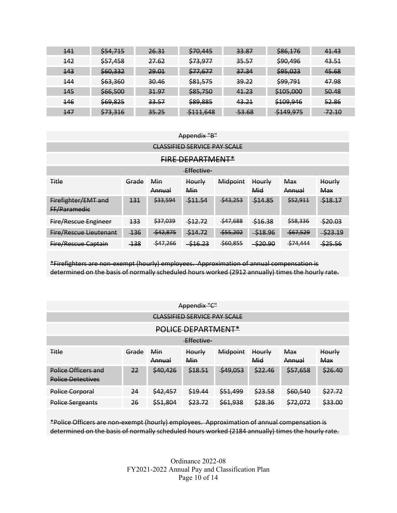| 141        | <del>\$54,715</del> | <del>26.31</del> | \$70,445             | <del>33.87</del> | \$86,176             | 41.43            |
|------------|---------------------|------------------|----------------------|------------------|----------------------|------------------|
| <u>442</u> | \$57,458            | <del>27.62</del> | \$73,977             | 35.57            | \$90,496             | 43.51            |
| 143        | \$60,332            | 29.01            | \$77,677             | 37.34            | \$95,023             | 45.68            |
| 144        | \$63,360            | 30.46            | \$81,575             | 39.22            | \$99,791             | 47.98            |
| <b>145</b> | \$66,500            | 31.97            | \$85,750             | 41.23            | \$105,000            | 50.48            |
| <b>146</b> | <del>\$69,825</del> | 33.57            | \$89,885             | 43.21            | \$109,946            | 52.86            |
| 147        | \$73,316            | 35.25            | <del>\$111,648</del> | <del>53.68</del> | <del>\$149,975</del> | <del>72.10</del> |

| Appendix "B"                                                                                                                                |                         |            |                   |                    |             |          |         |
|---------------------------------------------------------------------------------------------------------------------------------------------|-------------------------|------------|-------------------|--------------------|-------------|----------|---------|
| <b>CLASSIFIED SERVICE PAY SCALE</b>                                                                                                         |                         |            |                   |                    |             |          |         |
|                                                                                                                                             | <b>FIRE DEPARTMENT*</b> |            |                   |                    |             |          |         |
|                                                                                                                                             |                         |            | <b>Effective-</b> |                    |             |          |         |
| <b>Title</b><br>Midpoint<br>Min<br>Grade<br><b>Max</b><br>Hourly<br>Hourly<br><b>Hourly</b><br>Mid<br>Min<br><b>Max</b><br>Annual<br>Annual |                         |            |                   |                    |             |          |         |
| Firefighter/EMT and<br>FF/Paramedie                                                                                                         | 131                     | \$33,594   | $-511.54$         | $\frac{$43,253}{}$ | \$14.85     | \$52,911 | \$18.17 |
| <b>Fire/Rescue Engineer</b>                                                                                                                 | 133                     | \$37,039   | \$12.72           | \$47,688           | \$16.38     | \$58,336 | \$20.03 |
| <b>Fire/Rescue Lieutenant</b>                                                                                                               | $-136$                  | $-542,875$ | \$14.72           | \$55,202           | $-$ \$18.96 | \$67,529 | \$23.19 |
| Fire/Rescue Captain                                                                                                                         | $-138$                  | \$47,266   | $-$ \$16.23       | $-$ \$60,855       | $-$ \$20.90 | \$74,444 | \$25.56 |

\*Firefighters are non-exempt (hourly) employees. Approximation of annual compensation is determined on the basis of normally scheduled hours worked (2912 annually) times the hourly rate.

| Appendix "C"                                    |       |               |               |                     |               |                      |                      |
|-------------------------------------------------|-------|---------------|---------------|---------------------|---------------|----------------------|----------------------|
| <b>CLASSIFIED SERVICE PAY SCALE</b>             |       |               |               |                     |               |                      |                      |
| POLICE DEPARTMENT*                              |       |               |               |                     |               |                      |                      |
| Effective-                                      |       |               |               |                     |               |                      |                      |
| <b>Title</b>                                    | Grade | Min<br>Annual | Hourly<br>Min | Midpoint            | Hourly<br>Mid | <b>Max</b><br>Annual | <b>Hourly</b><br>Max |
| Police Officers and<br><b>Police Detectives</b> | 22    | \$40,426      | \$18.51       | $\frac{$49,053}{ }$ | \$22.46       | \$57,658             | \$26.40              |
| Police Corporal                                 | 24    | \$42,457      | \$49.44       | \$51,499            | \$23.58       | \$60,540             | \$27.72              |
| <b>Police Sergeants</b>                         | 26    | \$51,804      | \$23.72       | \$61,938            | \$28.36       | \$72,072             | \$33.00              |

\*Police Officers are non-exempt (hourly) employees. Approximation of annual compensation is determined on the basis of normally scheduled hours worked (2184 annually) times the hourly rate.

> Ordinance 2022-08 FY2021-2022 Annual Pay and Classification Plan Page 10 of 14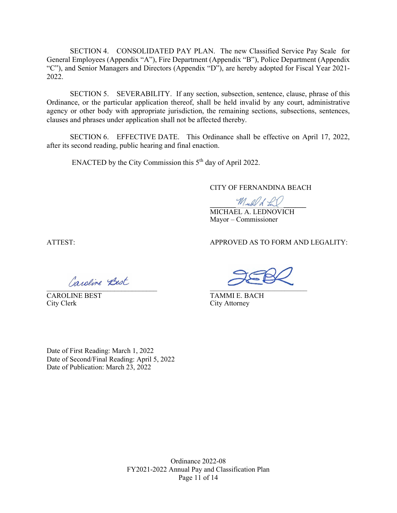SECTION 4. CONSOLIDATED PAY PLAN. The new Classified Service Pay Scale for General Employees (Appendix "A"), Fire Department (Appendix "B"), Police Department (Appendix "C"), and Senior Managers and Directors (Appendix "D"), are hereby adopted for Fiscal Year 2021- 2022.

SECTION 5. SEVERABILITY. If any section, subsection, sentence, clause, phrase of this Ordinance, or the particular application thereof, shall be held invalid by any court, administrative agency or other body with appropriate jurisdiction, the remaining sections, subsections, sentences, clauses and phrases under application shall not be affected thereby.

SECTION 6. EFFECTIVE DATE. This Ordinance shall be effective on April 17, 2022, after its second reading, public hearing and final enaction.

ENACTED by the City Commission this 5<sup>th</sup> day of April 2022.

### CITY OF FERNANDINA BEACH

Mich of LaV MICHAEL A. LEDNOVICH Mayor – Commissioner

CAROLINE BEST<br>
City Clerk<br>
City Clerk<br>
City Attorney

ATTEST: APPROVED AS TO FORM AND LEGALITY:

\_\_\_\_\_\_\_\_\_\_\_\_\_\_\_\_\_\_\_\_\_\_\_\_\_\_\_\_\_\_\_ \_\_\_\_\_\_\_\_\_\_\_\_\_\_\_\_\_\_\_\_\_\_\_\_\_\_\_\_\_\_

City Attorney

Date of First Reading: March 1, 2022 Date of Second/Final Reading: April 5, 2022 Date of Publication: March 23, 2022

> Ordinance 2022-08 FY2021-2022 Annual Pay and Classification Plan Page 11 of 14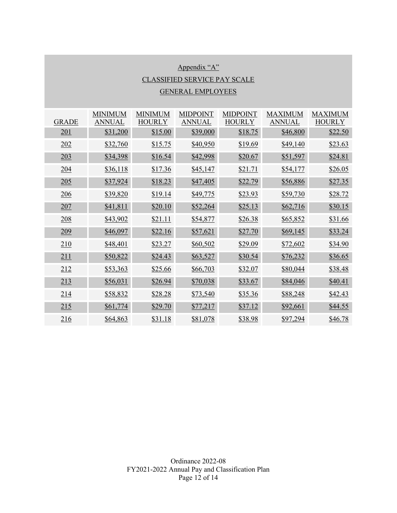# Appendix "A" CLASSIFIED SERVICE PAY SCALE GENERAL EMPLOYEES

|              | <b>MINIMUM</b> | <b>MINIMUM</b> | <b>MIDPOINT</b> | <b>MIDPOINT</b> | <b>MAXIMUM</b>  | <b>MAXIMUM</b> |
|--------------|----------------|----------------|-----------------|-----------------|-----------------|----------------|
| <b>GRADE</b> | <b>ANNUAL</b>  | <b>HOURLY</b>  | <b>ANNUAL</b>   | <b>HOURLY</b>   | <b>ANNUAL</b>   | <b>HOURLY</b>  |
| 201          | \$31,200       | \$15.00        | \$39,000        | \$18.75         | \$46,800        | \$22.50        |
| 202          | \$32,760       | \$15.75        | \$40,950        | \$19.69         | \$49,140        | \$23.63        |
| 203          | \$34,398       | \$16.54        | \$42,998        | \$20.67         | \$51,597        | \$24.81        |
| 204          | \$36,118       | \$17.36        | \$45,147        | \$21.71         | \$54,177        | \$26.05        |
| 205          | \$37,924       | \$18.23        | \$47,405        | \$22.79         | \$56,886        | \$27.35        |
| 206          | \$39,820       | \$19.14        | \$49,775        | \$23.93         | \$59,730        | \$28.72        |
| 207          | \$41,811       | \$20.10        | \$52,264        | \$25.13         | \$62,716        | \$30.15        |
| 208          | \$43,902       | \$21.11        | \$54,877        | \$26.38         | <u>\$65,852</u> | \$31.66        |
| 209          | \$46,097       | \$22.16        | \$57,621        | \$27.70         | \$69,145        | \$33.24        |
| 210          | \$48,401       | \$23.27        | \$60,502        | \$29.09         | \$72,602        | \$34.90        |
| 211          | \$50,822       | \$24.43        | \$63,527        | \$30.54         | \$76,232        | \$36.65        |
| 212          | \$53,363       | \$25.66        | \$66,703        | \$32.07         | \$80,044        | \$38.48        |
| 213          | \$56,031       | \$26.94        | \$70,038        | \$33.67         | \$84,046        | \$40.41        |
| 214          | \$58,832       | \$28.28        | \$73,540        | \$35.36         | \$88,248        | \$42.43        |
| 215          | \$61,774       | \$29.70        | \$77,217        | \$37.12         | \$92,661        | \$44.55        |
| 216          | \$64,863       | \$31.18        | \$81,078        | \$38.98         | \$97,294        | \$46.78        |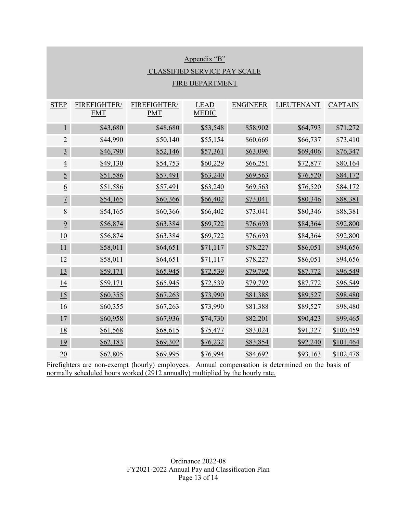| Appendix "B"                        |                            |                            |                             |                 |                   |                |  |  |  |
|-------------------------------------|----------------------------|----------------------------|-----------------------------|-----------------|-------------------|----------------|--|--|--|
| <b>CLASSIFIED SERVICE PAY SCALE</b> |                            |                            |                             |                 |                   |                |  |  |  |
| <b>FIRE DEPARTMENT</b>              |                            |                            |                             |                 |                   |                |  |  |  |
| <b>STEP</b>                         | FIREFIGHTER/<br><b>EMT</b> | FIREFIGHTER/<br><b>PMT</b> | <b>LEAD</b><br><b>MEDIC</b> | <b>ENGINEER</b> | <b>LIEUTENANT</b> | <b>CAPTAIN</b> |  |  |  |
| $\perp$                             | \$43,680                   | \$48,680                   | \$53,548                    | \$58,902        | \$64,793          | \$71,272       |  |  |  |
| $\overline{2}$                      | \$44,990                   | \$50,140                   | \$55,154                    | \$60,669        | \$66,737          | \$73,410       |  |  |  |
| $\overline{3}$                      | \$46,790                   | \$52,146                   | \$57,361                    | \$63,096        | \$69,406          | \$76,347       |  |  |  |
| $\overline{4}$                      | \$49,130                   | \$54,753                   | \$60,229                    | \$66,251        | \$72,877          | \$80,164       |  |  |  |
| $\overline{5}$                      | \$51,586                   | \$57,491                   | \$63,240                    | \$69,563        | \$76,520          | \$84,172       |  |  |  |
| 6                                   | \$51,586                   | \$57,491                   | \$63,240                    | \$69,563        | \$76,520          | \$84,172       |  |  |  |
| $\overline{1}$                      | \$54,165                   | \$60,366                   | \$66,402                    | \$73,041        | \$80,346          | \$88,381       |  |  |  |
| 8                                   | \$54,165                   | \$60,366                   | \$66,402                    | \$73,041        | \$80,346          | \$88,381       |  |  |  |
| $\overline{9}$                      | \$56,874                   | \$63,384                   | \$69,722                    | \$76,693        | \$84,364          | \$92,800       |  |  |  |
| 10                                  | \$56,874                   | \$63,384                   | \$69,722                    | \$76,693        | \$84,364          | \$92,800       |  |  |  |
| 11                                  | \$58,011                   | \$64,651                   | \$71,117                    | \$78,227        | \$86,051          | \$94,656       |  |  |  |
| 12                                  | \$58,011                   | \$64,651                   | \$71,117                    | \$78,227        | \$86,051          | \$94,656       |  |  |  |
| <u>13</u>                           | \$59,171                   | \$65,945                   | \$72,539                    | \$79,792        | \$87,772          | \$96,549       |  |  |  |
| 14                                  | \$59,171                   | \$65,945                   | \$72,539                    | \$79,792        | \$87,772          | \$96,549       |  |  |  |
| 15                                  | \$60,355                   | \$67,263                   | \$73,990                    | \$81,388        | \$89,527          | \$98,480       |  |  |  |
| 16                                  | \$60,355                   | \$67,263                   | \$73,990                    | \$81,388        | \$89,527          | \$98,480       |  |  |  |
| 17                                  | \$60,958                   | \$67,936                   | \$74,730                    | \$82,201        | \$90,423          | \$99,465       |  |  |  |
| <u>18</u>                           | \$61,568                   | \$68,615                   | \$75,477                    | \$83,024        | \$91,327          | \$100,459      |  |  |  |
| <u>19</u>                           | \$62,183                   | \$69,302                   | \$76,232                    | \$83,854        | \$92,240          | \$101,464      |  |  |  |
| 20                                  | \$62,805                   | \$69,995                   | \$76,994                    | \$84,692        | \$93,163          | \$102,478      |  |  |  |

Firefighters are non-exempt (hourly) employees. Annual compensation is determined on the basis of normally scheduled hours worked (2912 annually) multiplied by the hourly rate.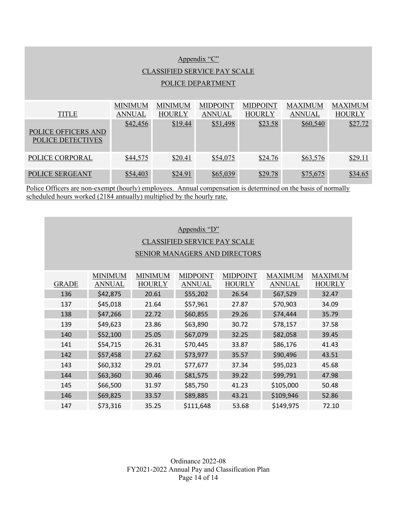| Appendix "C"                                    |                |                |                 |                 |                |                |  |
|-------------------------------------------------|----------------|----------------|-----------------|-----------------|----------------|----------------|--|
| <b>CLASSIFIED SERVICE PAY SCALE</b>             |                |                |                 |                 |                |                |  |
| POLICE DEPARTMENT                               |                |                |                 |                 |                |                |  |
|                                                 |                |                |                 |                 |                |                |  |
|                                                 | <b>MINIMUM</b> | <b>MINIMUM</b> | <b>MIDPOINT</b> | <b>MIDPOINT</b> | <b>MAXIMUM</b> | <b>MAXIMUM</b> |  |
| <b>TITLE</b>                                    | <b>ANNUAL</b>  | <b>HOURLY</b>  | <b>ANNUAL</b>   | <b>HOURLY</b>   | <b>ANNUAL</b>  | <b>HOURLY</b>  |  |
| POLICE OFFICERS AND<br><b>POLICE DETECTIVES</b> | \$42,456       | \$19.44        | \$51,498        | \$23.58         | \$60,540       | \$27.72        |  |
| POLICE CORPORAL                                 | \$44,575       | \$20.41        | \$54,075        | \$24.76         | \$63,576       | \$29.11        |  |
| POLICE SERGEANT                                 | \$54,403       | \$24.91        | \$65,039        | \$29.78         | \$75,675       | \$34.65        |  |

Police Officers are non-exempt (hourly) employees. Annual compensation is determined on the basis of normally scheduled hours worked (2184 annually) multiplied by the hourly rate.

### Appendix "D"

# CLASSIFIED SERVICE PAY SCALE

### SENIOR MANAGERS AND DIRECTORS

| <b>GRADE</b> | <b>MINIMUM</b><br><b>ANNUAL</b> | <b>MINIMUM</b><br><b>HOURLY</b> | <b>MIDPOINT</b><br><b>ANNUAL</b> | <b>MIDPOINT</b><br><b>HOURLY</b> | <b>MAXIMUM</b><br><b>ANNUAL</b> | <b>MAXIMUM</b><br><b>HOURLY</b> |
|--------------|---------------------------------|---------------------------------|----------------------------------|----------------------------------|---------------------------------|---------------------------------|
| 136          | \$42,875                        | 20.61                           | \$55,202                         | 26.54                            | \$67,529                        | 32.47                           |
| 137          | \$45,018                        | 21.64                           | \$57,961                         | 27.87                            | \$70,903                        | 34.09                           |
| 138          | \$47,266                        | 22.72                           | \$60,855                         | 29.26                            | \$74,444                        | 35.79                           |
| 139          | \$49,623                        | 23.86                           | \$63,890                         | 30.72                            | \$78,157                        | 37.58                           |
| 140          | \$52,100                        | 25.05                           | \$67,079                         | 32.25                            | \$82,058                        | 39.45                           |
| 141          | \$54,715                        | 26.31                           | \$70,445                         | 33.87                            | \$86,176                        | 41.43                           |
| 142          | \$57,458                        | 27.62                           | \$73,977                         | 35.57                            | \$90,496                        | 43.51                           |
| 143          | \$60,332                        | 29.01                           | \$77,677                         | 37.34                            | \$95,023                        | 45.68                           |
| 144          | \$63,360                        | 30.46                           | \$81,575                         | 39.22                            | \$99,791                        | 47.98                           |
| 145          | \$66,500                        | 31.97                           | \$85,750                         | 41.23                            | \$105,000                       | 50.48                           |
| 146          | \$69,825                        | 33.57                           | \$89,885                         | 43.21                            | \$109,946                       | 52.86                           |
| 147          | \$73,316                        | 35.25                           | \$111,648                        | 53.68                            | \$149,975                       | 72.10                           |

Ordinance 2022-08 FY2021-2022 Annual Pay and Classification Plan Page 14 of 14